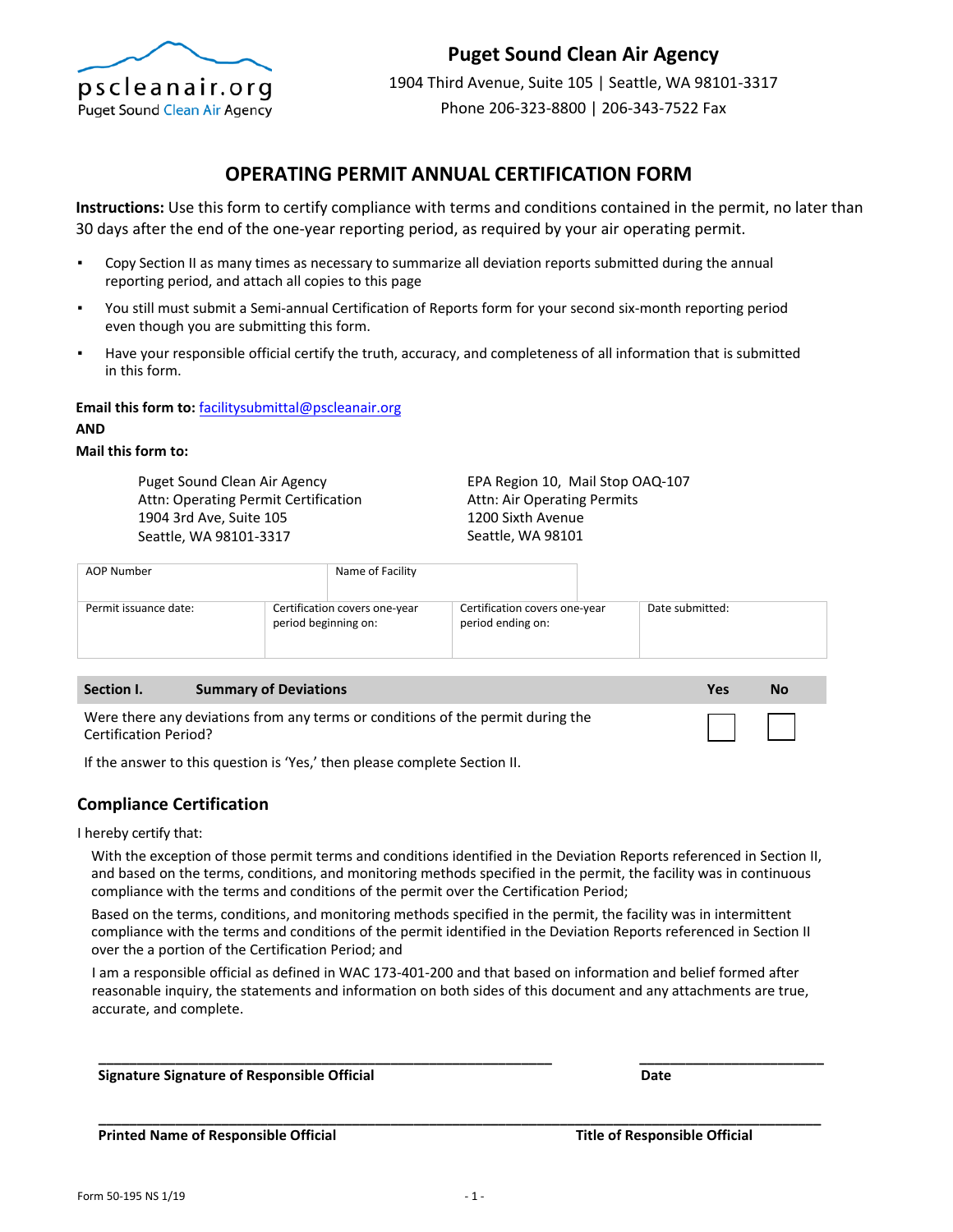

# **Puget Sound Clean Air Agency**

1904 Third Avenue, Suite 105 | Seattle, WA 98101-3317 Phone 206-323-8800 | 206-343-7522 Fax

## **OPERATING PERMIT ANNUAL CERTIFICATION FORM**

**Instructions:** Use this form to certify compliance with terms and conditions contained in the permit, no later than 30 days after the end of the one-year reporting period, as required by your air operating permit.

- Copy Section II as many times as necessary to summarize all deviation reports submitted during the annual reporting period, and attach all copies to this page
- You still must submit a Semi-annual Certification of Reports form for your second six-month reporting period even though you are submitting this form.
- Have your responsible official certify the truth, accuracy, and completeness of all information that is submitted in this form.

**Email this form to:** facilitysubmittal@pscleanair.org

#### **AND**

### **Mail this form to:**

Puget Sound Clean Air Agency Attn: Operating Permit Certification 1904 3rd Ave, Suite 105 Seattle, WA 98101-3317

EPA Region 10, Mail Stop OAQ-107 Attn: Air Operating Permits 1200 Sixth Avenue Seattle, WA 98101

| Certification covers one-year<br>Date submitted:<br>Permit issuance date:<br>Certification covers one-year<br>period beginning on:<br>period ending on: | AOP Number | Name of Facility |  |  |
|---------------------------------------------------------------------------------------------------------------------------------------------------------|------------|------------------|--|--|
|                                                                                                                                                         |            |                  |  |  |

| Section I.                   | <b>Summary of Deviations</b>                                                    | Yes    | No |
|------------------------------|---------------------------------------------------------------------------------|--------|----|
| <b>Certification Period?</b> | Were there any deviations from any terms or conditions of the permit during the | $\Box$ |    |
| .                            | .                                                                               |        |    |

If the answer to this question is 'Yes,' then please complete Section II.

### **Compliance Certification**

I hereby certify that:

With the exception of those permit terms and conditions identified in the Deviation Reports referenced in Section II, and based on the terms, conditions, and monitoring methods specified in the permit, the facility was in continuous compliance with the terms and conditions of the permit over the Certification Period;

Based on the terms, conditions, and monitoring methods specified in the permit, the facility was in intermittent compliance with the terms and conditions of the permit identified in the Deviation Reports referenced in Section II over the a portion of the Certification Period; and

I am a responsible official as defined in WAC 173-401-200 and that based on information and belief formed after reasonable inquiry, the statements and information on both sides of this document and any attachments are true, accurate, and complete.

**Signature Signature of Responsible Official Date** 

**\_\_\_\_\_\_\_\_\_\_\_\_\_\_\_\_\_\_\_\_\_\_\_\_\_\_\_\_\_\_\_\_\_\_\_\_\_\_\_\_\_\_\_\_\_\_\_\_\_\_\_\_\_\_\_\_\_\_\_ \_\_\_\_\_\_\_\_\_\_\_\_\_\_\_\_\_\_\_\_\_\_\_\_** 

**Printed Name of Responsible Official Title of Responsible Official**

**\_\_\_\_\_\_\_\_\_\_\_\_\_\_\_\_\_\_\_\_\_\_\_\_\_\_\_\_\_\_\_\_\_\_\_\_\_\_\_\_\_\_\_\_\_\_\_\_\_\_\_\_\_\_\_\_\_\_\_\_\_\_\_\_\_\_\_\_\_\_\_\_\_\_\_\_\_\_\_\_\_\_\_\_\_\_\_\_\_\_\_\_\_\_**